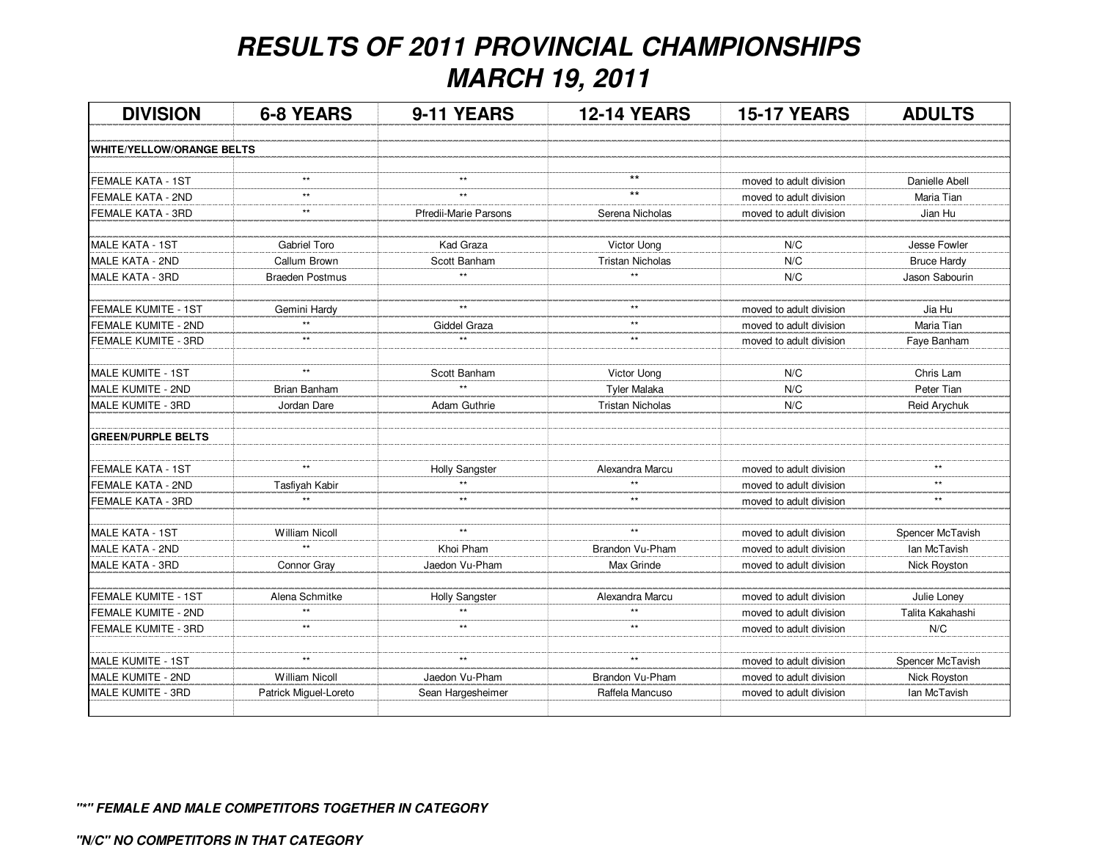## **RESULTS OF 2011 PROVINCIAL CHAMPIONSHIPSMARCH 19, 2011**

| <b>DIVISION</b>                  | <b>6-8 YEARS</b>      | 9-11 YEARS            | <b>12-14 YEARS</b>      | <b>15-17 YEARS</b>      | <b>ADULTS</b>       |
|----------------------------------|-----------------------|-----------------------|-------------------------|-------------------------|---------------------|
| <b>WHITE/YELLOW/ORANGE BELTS</b> |                       |                       |                         |                         |                     |
|                                  |                       |                       |                         |                         |                     |
| <b>FEMALE KATA - 1ST</b>         | $\star\star$          | $\star\star$          | $***$                   | moved to adult division | Danielle Abell      |
| FEMALE KATA - 2ND                | $**$                  | $\star\star$          | $***$                   | moved to adult division | Maria Tian          |
| FEMALE KATA - 3RD                | $\star\star$          | Pfredii-Marie Parsons | Serena Nicholas         | moved to adult division | Jian Hu             |
| MALE KATA - 1ST                  | Gabriel Toro          | Kad Graza             | Victor Uong             | N/C                     | Jesse Fowler        |
| MALE KATA - 2ND                  | Callum Brown          | Scott Banham          | <b>Tristan Nicholas</b> | N/C                     | <b>Bruce Hardy</b>  |
| <b>MALE KATA - 3RD</b>           | Braeden Postmus       | $\star\star$          | $\star\star$            | N/C                     | Jason Sabourin      |
| <b>FEMALE KUMITE - 1ST</b>       | Gemini Hardy          | $\star\star$          | $**$                    | moved to adult division | Jia Hu              |
| <b>FEMALE KUMITE - 2ND</b>       | $\star\star$          | Giddel Graza          | $\star\star$            | moved to adult division | Maria Tian          |
| FEMALE KUMITE - 3RD              | $\star\star$          | $\star\star$          | $\star\star$            | moved to adult division | Faye Banham         |
|                                  |                       |                       |                         |                         |                     |
| MALE KUMITE - 1ST                | $\star\star$          | Scott Banham          | Victor Uong             | N/C                     | Chris Lam           |
| MALE KUMITE - 2ND                | <b>Brian Banham</b>   | $\star\star$          | <b>Tyler Malaka</b>     | N/C                     | Peter Tian          |
| MALE KUMITE - 3RD                | Jordan Dare           | Adam Guthrie          | <b>Tristan Nicholas</b> | N/C                     | Reid Arychuk        |
| <b>GREEN/PURPLE BELTS</b>        |                       |                       |                         |                         |                     |
| <b>FEMALE KATA - 1ST</b>         | $\star\star$          | <b>Holly Sangster</b> | Alexandra Marcu         | moved to adult division | $\star\star$        |
| FEMALE KATA - 2ND                | Tasfiyah Kabir        | **                    | $***$                   | moved to adult division | $***$               |
| <b>FEMALE KATA - 3RD</b>         | $\star\star$          | $\star\star$          | $***$                   | moved to adult division | $\star\star$        |
| <b>MALE KATA - 1ST</b>           | <b>William Nicoll</b> | $\star\star$          | $\star\star$            | moved to adult division | Spencer McTavish    |
| MALE KATA - 2ND                  | $\star\star$          | Khoi Pham             | Brandon Vu-Pham         | moved to adult division | Ian McTavish        |
| MALE KATA - 3RD                  | Connor Gray           | Jaedon Vu-Pham        | Max Grinde              | moved to adult division | Nick Royston        |
|                                  |                       |                       |                         |                         |                     |
| <b>FEMALE KUMITE - 1ST</b>       | Alena Schmitke        | <b>Holly Sangster</b> | Alexandra Marcu         | moved to adult division | Julie Loney         |
| FEMALE KUMITE - 2ND              | $\star\star$          | $\star\star$          | $\star\star$            | moved to adult division | Talita Kakahashi    |
| FEMALE KUMITE - 3RD              | $\star\star$          | $\star\star$          | $^{\star\star}$         | moved to adult division | N/C                 |
| MALE KUMITE - 1ST                | $***$                 | $^{\star\star}$       | $\star\star$            | moved to adult division | Spencer McTavish    |
| MALE KUMITE - 2ND                | <b>William Nicoll</b> | Jaedon Vu-Pham        | Brandon Vu-Pham         | moved to adult division | <b>Nick Royston</b> |
| MALE KUMITE - 3RD                | Patrick Miguel-Loreto | Sean Hargesheimer     | Raffela Mancuso         | moved to adult division | lan McTavish        |
|                                  |                       |                       |                         |                         |                     |

**"\*" FEMALE AND MALE COMPETITORS TOGETHER IN CATEGORY**

**"N/C" NO COMPETITORS IN THAT CATEGORY**